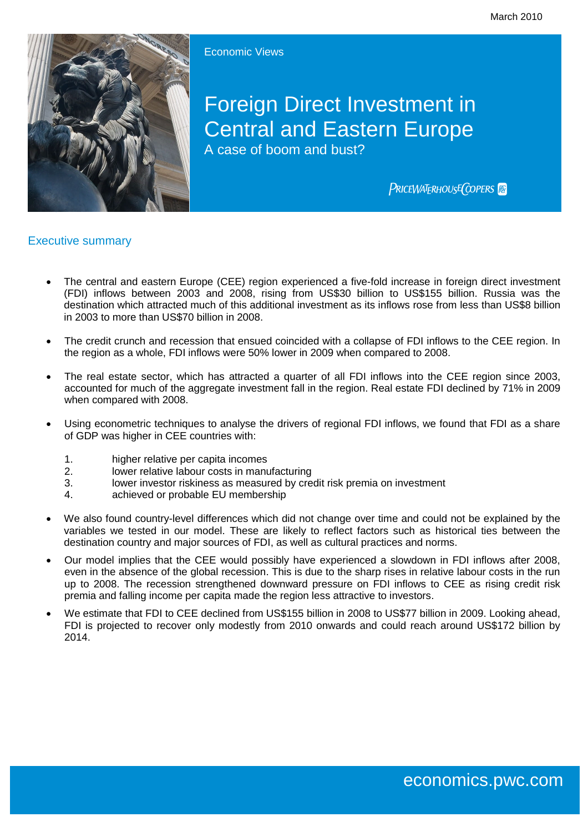

Economic Views

Foreign Direct Investment in Central and Eastern Europe A case of boom and bust?

**PRICEWATERHOUSE COPERS** 

## Executive summary

- The central and eastern Europe (CEE) region experienced a five-fold increase in foreign direct investment (FDI) inflows between 2003 and 2008, rising from US\$30 billion to US\$155 billion. Russia was the destination which attracted much of this additional investment as its inflows rose from less than US\$8 billion in 2003 to more than US\$70 billion in 2008.
- The credit crunch and recession that ensued coincided with a collapse of FDI inflows to the CEE region. In the region as a whole, FDI inflows were 50% lower in 2009 when compared to 2008.
- The real estate sector, which has attracted a quarter of all FDI inflows into the CEE region since 2003, accounted for much of the aggregate investment fall in the region. Real estate FDI declined by 71% in 2009 when compared with 2008.
- Using econometric techniques to analyse the drivers of regional FDI inflows, we found that FDI as a share of GDP was higher in CEE countries with:
	- 1. higher relative per capita incomes
	- 2. lower relative labour costs in manufacturing
	- 3. lower investor riskiness as measured by credit risk premia on investment
	- 4. achieved or probable EU membership
- We also found country-level differences which did not change over time and could not be explained by the variables we tested in our model. These are likely to reflect factors such as historical ties between the destination country and major sources of FDI, as well as cultural practices and norms.
- Our model implies that the CEE would possibly have experienced a slowdown in FDI inflows after 2008, even in the absence of the global recession. This is due to the sharp rises in relative labour costs in the run up to 2008. The recession strengthened downward pressure on FDI inflows to CEE as rising credit risk premia and falling income per capita made the region less attractive to investors.
- We estimate that FDI to CEE declined from US\$155 billion in 2008 to US\$77 billion in 2009. Looking ahead, FDI is projected to recover only modestly from 2010 onwards and could reach around US\$172 billion by 2014.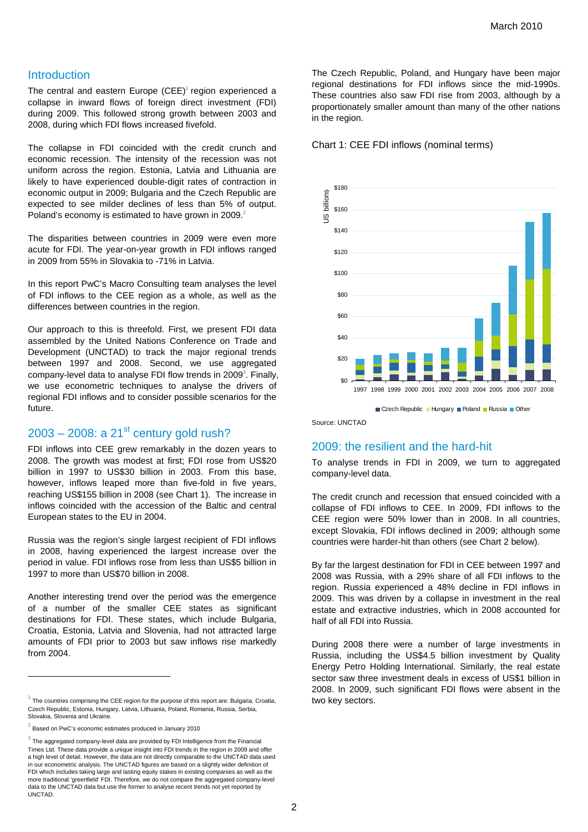## **Introduction**

The central and eastern Europe (CEE)<sup>[1](#page-1-1)</sup> region experienced a collapse in inward flows of foreign direct investment (FDI) during 2009. This followed strong growth between 2003 and 2008, during which FDI flows increased fivefold.

The collapse in FDI coincided with the credit crunch and economic recession. The intensity of the recession was not uniform across the region. Estonia, Latvia and Lithuania are likely to have experienced double-digit rates of contraction in economic output in 2009; Bulgaria and the Czech Republic are expected to see milder declines of less than 5% of output. Poland's economy is estimated to have grown in [2](#page-1-2)009.<sup>2</sup>

The disparities between countries in 2009 were even more acute for FDI. The year-on-year growth in FDI inflows ranged in 2009 from 55% in Slovakia to -71% in Latvia.

In this report PwC's Macro Consulting team analyses the level of FDI inflows to the CEE region as a whole, as well as the differences between countries in the region.

Our approach to this is threefold. First, we present FDI data assembled by the United Nations Conference on Trade and Development (UNCTAD) to track the major regional trends between 1997 and 2008. Second, we use aggregated company-leveldata to analyse FDI flow trends in 2009<sup>3</sup>[.](#page-1-3) Finally, we use econometric techniques to analyse the drivers of regional FDI inflows and to consider possible scenarios for the future.

## $2003 - 2008$ : a  $21<sup>st</sup>$  century gold rush?

FDI inflows into CEE grew remarkably in the dozen years to 2008. The growth was modest at first; FDI rose from US\$20 billion in 1997 to US\$30 billion in 2003. From this base, however, inflows leaped more than five-fold in five years, reaching US\$155 billion in 2008 (see [Chart](#page-1-0) 1). The increase in inflows coincided with the accession of the Baltic and central European states to the EU in 2004.

Russia was the region's single largest recipient of FDI inflows in 2008, having experienced the largest increase over the period in value. FDI inflows rose from less than US\$5 billion in 1997 to more than US\$70 billion in 2008.

Another interesting trend over the period was the emergence of a number of the smaller CEE states as significant destinations for FDI. These states, which include Bulgaria, Croatia, Estonia, Latvia and Slovenia, had not attracted large amounts of FDI prior to 2003 but saw inflows rise markedly from 2004.

The Czech Republic, Poland, and Hungary have been major regional destinations for FDI inflows since the mid-1990s. These countries also saw FDI rise from 2003, although by a proportionately smaller amount than many of the other nations in the region.

#### <span id="page-1-0"></span>Chart 1: CEE FDI inflows (nominal terms)



Source: UNCTAD

### 2009: the resilient and the hard-hit

To analyse trends in FDI in 2009, we turn to aggregated company-level data.

The credit crunch and recession that ensued coincided with a collapse of FDI inflows to CEE. In 2009, FDI inflows to the CEE region were 50% lower than in 2008. In all countries, except Slovakia, FDI inflows declined in 2009; although some countries were harder-hit than others (see [Chart](#page-2-0) 2 below).

By far the largest destination for FDI in CEE between 1997 and 2008 was Russia, with a 29% share of all FDI inflows to the region. Russia experienced a 48% decline in FDI inflows in 2009. This was driven by a collapse in investment in the real estate and extractive industries, which in 2008 accounted for half of all FDI into Russia.

During 2008 there were a number of large investments in Russia, including the US\$4.5 billion investment by Quality Energy Petro Holding International. Similarly, the real estate sector saw three investment deals in excess of US\$1 billion in 2008. In 2009, such significant FDI flows were absent in the two key sectors.

 $<sup>1</sup>$  The countries comprising the CEE region for the purpose of this report are: Bulgaria, Croatia,</sup> Czech Republic, Estonia, Hungary, Latvia, Lithuania, Poland, Romania, Russia, Serbia, Slovakia, Slovenia and Ukraine.

 $2$  Based on PwC's economic estimates produced in January 2010

<span id="page-1-3"></span><span id="page-1-2"></span><span id="page-1-1"></span> $3$  The aggregated company-level data are provided by FDI Intelligence from the Financial Times Ltd. These data provide a unique insight into FDI trends in the region in 2009 and offer a high level of detail. However, the data are not directly comparable to the UNCTAD data used in our econometric analysis. The UNCTAD figures are based on a slightly wider definition of FDI which includes taking large and lasting equity stakes in existing companies as well as the more traditional 'greenfield' FDI. Therefore, we do not compare the aggregated company-level data to the UNCTAD data but use the former to analyse recent trends not yet reported by UNCTAD.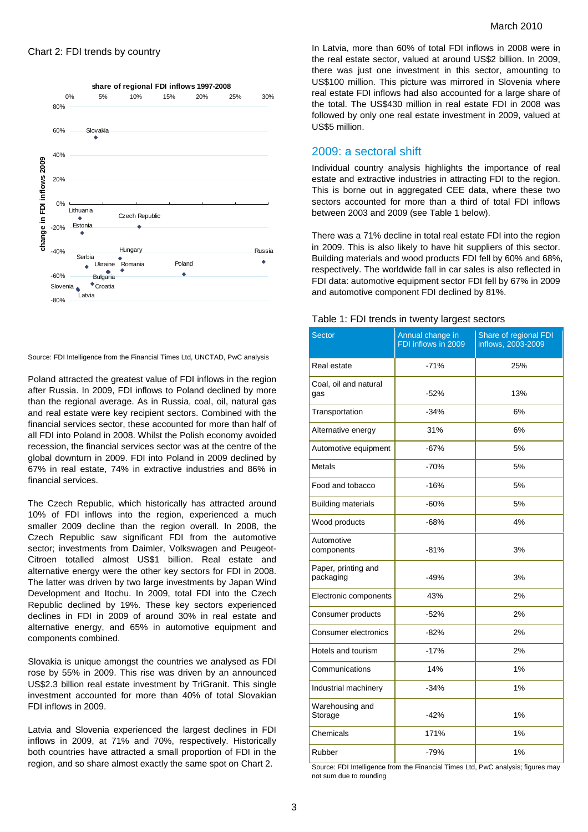<span id="page-2-0"></span>

Source: FDI Intelligence from the Financial Times Ltd, UNCTAD, PwC analysis

Poland attracted the greatest value of FDI inflows in the region after Russia. In 2009, FDI inflows to Poland declined by more than the regional average. As in Russia, coal, oil, natural gas and real estate were key recipient sectors. Combined with the financial services sector, these accounted for more than half of all FDI into Poland in 2008. Whilst the Polish economy avoided recession, the financial services sector was at the centre of the global downturn in 2009. FDI into Poland in 2009 declined by 67% in real estate, 74% in extractive industries and 86% in financial services.

The Czech Republic, which historically has attracted around 10% of FDI inflows into the region, experienced a much smaller 2009 decline than the region overall. In 2008, the Czech Republic saw significant FDI from the automotive sector; investments from Daimler, Volkswagen and Peugeot-Citroen totalled almost US\$1 billion. Real estate and alternative energy were the other key sectors for FDI in 2008. The latter was driven by two large investments by Japan Wind Development and Itochu. In 2009, total FDI into the Czech Republic declined by 19%. These key sectors experienced declines in FDI in 2009 of around 30% in real estate and alternative energy, and 65% in automotive equipment and components combined.

Slovakia is unique amongst the countries we analysed as FDI rose by 55% in 2009. This rise was driven by an announced US\$2.3 billion real estate investment by TriGranit. This single investment accounted for more than 40% of total Slovakian FDI inflows in 2009.

Latvia and Slovenia experienced the largest declines in FDI inflows in 2009, at 71% and 70%, respectively. Historically both countries have attracted a small proportion of FDI in the region, and so share almost exactly the same spot on Chart 2.

In Latvia, more than 60% of total FDI inflows in 2008 were in the real estate sector, valued at around US\$2 billion. In 2009, there was just one investment in this sector, amounting to US\$100 million. This picture was mirrored in Slovenia where real estate FDI inflows had also accounted for a large share of the total. The US\$430 million in real estate FDI in 2008 was followed by only one real estate investment in 2009, valued at US\$5 million.

## 2009: a sectoral shift

Individual country analysis highlights the importance of real estate and extractive industries in attracting FDI to the region. This is borne out in aggregated CEE data, where these two sectors accounted for more than a third of total FDI inflows between 2003 and 2009 (see [Table](#page-2-1) 1 below).

There was a 71% decline in total real estate FDI into the region in 2009. This is also likely to have hit suppliers of this sector. Building materials and wood products FDI fell by 60% and 68%, respectively. The worldwide fall in car sales is also reflected in FDI data: automotive equipment sector FDI fell by 67% in 2009 and automotive component FDI declined by 81%.

| Sector                           | Annual change in<br>FDI inflows in 2009 | Share of regional FDI<br>inflows, 2003-2009 |
|----------------------------------|-----------------------------------------|---------------------------------------------|
| Real estate                      | $-71%$                                  | 25%                                         |
| Coal, oil and natural<br>gas     | $-52%$                                  | 13%                                         |
| Transportation                   | $-34%$                                  | 6%                                          |
| Alternative energy               | 31%                                     | 6%                                          |
| Automotive equipment             | $-67%$                                  | 5%                                          |
| Metals                           | $-70%$                                  | 5%                                          |
| Food and tobacco                 | $-16%$                                  | 5%                                          |
| <b>Building materials</b>        | $-60%$                                  | 5%                                          |
| Wood products                    | $-68%$                                  | 4%                                          |
| Automotive<br>components         | $-81%$                                  | 3%                                          |
| Paper, printing and<br>packaging | $-49%$                                  | 3%                                          |
| Electronic components            | 43%                                     | 2%                                          |
| Consumer products                | $-52%$                                  | 2%                                          |
| Consumer electronics             | $-82%$                                  | 2%                                          |
| Hotels and tourism               | $-17%$                                  | 2%                                          |
| Communications                   | 14%                                     | 1%                                          |
| Industrial machinery             | $-34%$                                  | 1%                                          |
| Warehousing and<br>Storage       | $-42%$                                  | 1%                                          |
| Chemicals                        | 171%                                    | 1%                                          |
| Rubber                           | $-79%$                                  | 1%                                          |

<span id="page-2-1"></span>Table 1: FDI trends in twenty largest sectors

Source: FDI Intelligence from the Financial Times Ltd, PwC analysis; figures may not sum due to rounding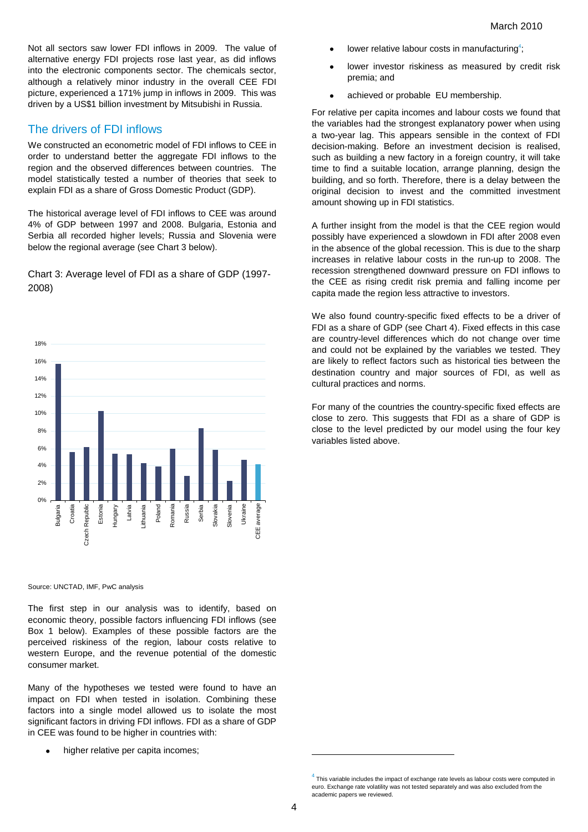Not all sectors saw lower FDI inflows in 2009. The value of alternative energy FDI projects rose last year, as did inflows into the electronic components sector. The chemicals sector, although a relatively minor industry in the overall CEE FDI picture, experienced a 171% jump in inflows in 2009. This was driven by a US\$1 billion investment by Mitsubishi in Russia.

## The drivers of FDI inflows

We constructed an econometric model of FDI inflows to CEE in order to understand better the aggregate FDI inflows to the region and the observed differences between countries. The model statistically tested a number of theories that seek to explain FDI as a share of Gross Domestic Product (GDP).

The historical average level of FDI inflows to CEE was around 4% of GDP between 1997 and 2008. Bulgaria, Estonia and Serbia all recorded higher levels; Russia and Slovenia were below the regional average (see [Chart](#page-3-0) 3 below).

<span id="page-3-0"></span>Chart 3: Average level of FDI as a share of GDP (1997- 2008)



Source: UNCTAD, IMF, PwC analysis

The first step in our analysis was to identify, based on economic theory, possible factors influencing FDI inflows (see Box 1 below). Examples of these possible factors are the perceived riskiness of the region, labour costs relative to western Europe, and the revenue potential of the domestic consumer market.

Many of the hypotheses we tested were found to have an impact on FDI when tested in isolation. Combining these factors into a single model allowed us to isolate the most significant factors in driving FDI inflows. FDI as a share of GDP in CEE was found to be higher in countries with:

higher relative per capita incomes;

- $\bullet$  lower relative labour costs in manufacturing<sup>[4](#page-3-1)</sup>[;](#page-3-1)
- lower investor riskiness as measured by credit risk premia; and
- achieved or probable EU membership.

For relative per capita incomes and labour costs we found that the variables had the strongest explanatory power when using a two-year lag. This appears sensible in the context of FDI decision-making. Before an investment decision is realised, such as building a new factory in a foreign country, it will take time to find a suitable location, arrange planning, design the building, and so forth. Therefore, there is a delay between the original decision to invest and the committed investment amount showing up in FDI statistics.

A further insight from the model is that the CEE region would possibly have experienced a slowdown in FDI after 2008 even in the absence of the global recession. This is due to the sharp increases in relative labour costs in the run-up to 2008. The recession strengthened downward pressure on FDI inflows to the CEE as rising credit risk premia and falling income per capita made the region less attractive to investors.

We also found country-specific fixed effects to be a driver of FDI as a share of GDP (see [Chart](#page-4-0) 4). Fixed effects in this case are country-level differences which do not change over time and could not be explained by the variables we tested. They are likely to reflect factors such as historical ties between the destination country and major sources of FDI, as well as cultural practices and norms.

For many of the countries the country-specific fixed effects are close to zero. This suggests that FDI as a share of GDP is close to the level predicted by our model using the four key variables listed above.

<span id="page-3-1"></span> $<sup>4</sup>$  This variable includes the impact of exchange rate levels as labour costs were computed in</sup> euro. Exchange rate volatility was not tested separately and was also excluded from the academic papers we reviewed.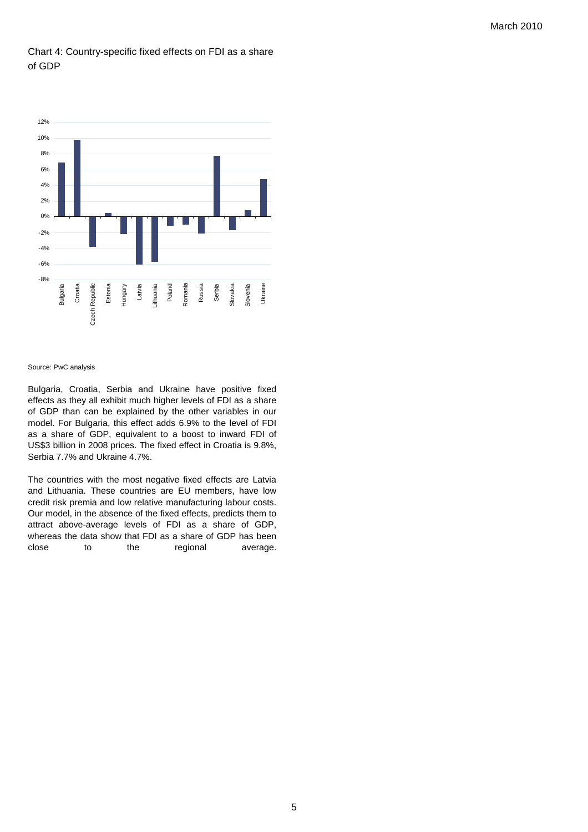## <span id="page-4-0"></span>Chart 4: Country-specific fixed effects on FDI as a share of GDP



#### Source: PwC analysis

Bulgaria, Croatia, Serbia and Ukraine have positive fixed effects as they all exhibit much higher levels of FDI as a share of GDP than can be explained by the other variables in our model. For Bulgaria, this effect adds 6.9% to the level of FDI as a share of GDP, equivalent to a boost to inward FDI of US\$3 billion in 2008 prices. The fixed effect in Croatia is 9.8%, Serbia 7.7% and Ukraine 4.7%.

The countries with the most negative fixed effects are Latvia and Lithuania. These countries are EU members, have low credit risk premia and low relative manufacturing labour costs. Our model, in the absence of the fixed effects, predicts them to attract above-average levels of FDI as a share of GDP, whereas the data show that FDI as a share of GDP has been close to the regional average.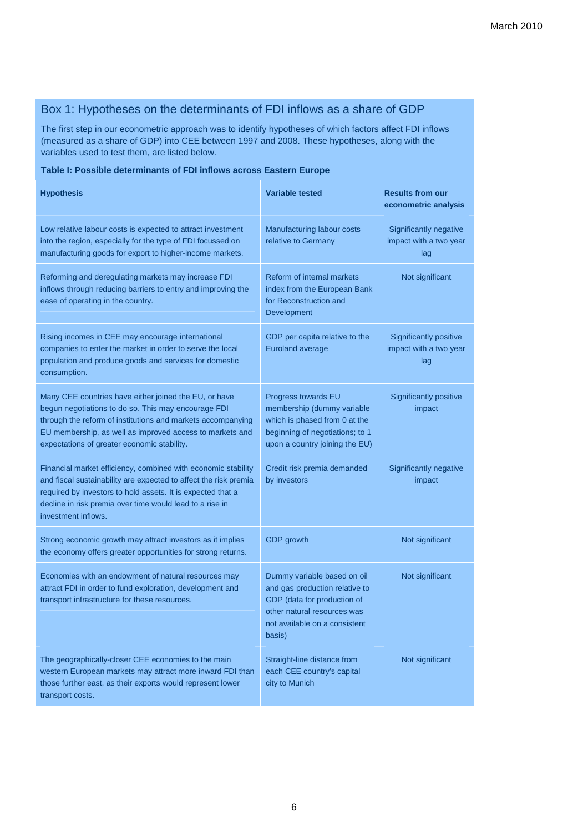# Box 1: Hypotheses on the determinants of FDI inflows as a share of GDP

The first step in our econometric approach was to identify hypotheses of which factors affect FDI inflows (measured as a share of GDP) into CEE between 1997 and 2008. These hypotheses, along with the variables used to test them, are listed below.

### **Table I: Possible determinants of FDI inflows across Eastern Europe**

| <b>Hypothesis</b>                                                                                                                                                                                                                                                                      | <b>Variable tested</b>                                                                                                                                                 | <b>Results from our</b><br>econometric analysis                |
|----------------------------------------------------------------------------------------------------------------------------------------------------------------------------------------------------------------------------------------------------------------------------------------|------------------------------------------------------------------------------------------------------------------------------------------------------------------------|----------------------------------------------------------------|
| Low relative labour costs is expected to attract investment<br>into the region, especially for the type of FDI focussed on<br>manufacturing goods for export to higher-income markets.                                                                                                 | Manufacturing labour costs<br>relative to Germany                                                                                                                      | Significantly negative<br>impact with a two year<br>lag        |
| Reforming and deregulating markets may increase FDI<br>inflows through reducing barriers to entry and improving the<br>ease of operating in the country.                                                                                                                               | Reform of internal markets<br>index from the European Bank<br>for Reconstruction and<br>Development                                                                    | Not significant                                                |
| Rising incomes in CEE may encourage international<br>companies to enter the market in order to serve the local<br>population and produce goods and services for domestic<br>consumption.                                                                                               | GDP per capita relative to the<br><b>Euroland average</b>                                                                                                              | <b>Significantly positive</b><br>impact with a two year<br>lag |
| Many CEE countries have either joined the EU, or have<br>begun negotiations to do so. This may encourage FDI<br>through the reform of institutions and markets accompanying<br>EU membership, as well as improved access to markets and<br>expectations of greater economic stability. | Progress towards EU<br>membership (dummy variable<br>which is phased from 0 at the<br>beginning of negotiations; to 1<br>upon a country joining the EU)                | Significantly positive<br>impact                               |
| Financial market efficiency, combined with economic stability<br>and fiscal sustainability are expected to affect the risk premia<br>required by investors to hold assets. It is expected that a<br>decline in risk premia over time would lead to a rise in<br>investment inflows.    | Credit risk premia demanded<br>by investors                                                                                                                            | Significantly negative<br>impact                               |
| Strong economic growth may attract investors as it implies<br>the economy offers greater opportunities for strong returns.                                                                                                                                                             | <b>GDP</b> growth                                                                                                                                                      | Not significant                                                |
| Economies with an endowment of natural resources may<br>attract FDI in order to fund exploration, development and<br>transport infrastructure for these resources.                                                                                                                     | Dummy variable based on oil<br>and gas production relative to<br>GDP (data for production of<br>other natural resources was<br>not available on a consistent<br>basis) | Not significant                                                |
| The geographically-closer CEE economies to the main<br>western European markets may attract more inward FDI than<br>those further east, as their exports would represent lower<br>transport costs.                                                                                     | Straight-line distance from<br>each CEE country's capital<br>city to Munich                                                                                            | Not significant                                                |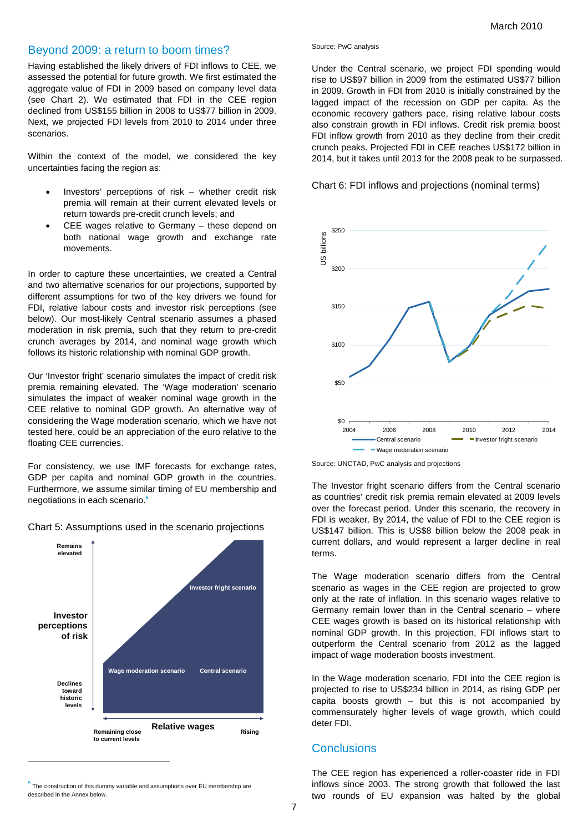## Beyond 2009: a return to boom times?

Having established the likely drivers of FDI inflows to CEE, we assessed the potential for future growth. We first estimated the aggregate value of FDI in 2009 based on company level data (see [Chart](#page-2-0) 2). We estimated that FDI in the CEE region declined from US\$155 billion in 2008 to US\$77 billion in 2009. Next, we projected FDI levels from 2010 to 2014 under three scenarios.

Within the context of the model, we considered the key uncertainties facing the region as:

- Investors' perceptions of risk whether credit risk premia will remain at their current elevated levels or return towards pre-credit crunch levels; and
- CEE wages relative to Germany these depend on both national wage growth and exchange rate movements.

In order to capture these uncertainties, we created a Central and two alternative scenarios for our projections, supported by different assumptions for two of the key drivers we found for FDI, relative labour costs and investor risk perceptions (see below). Our most-likely Central scenario assumes a phased moderation in risk premia, such that they return to pre-credit crunch averages by 2014, and nominal wage growth which follows its historic relationship with nominal GDP growth.

Our 'Investor fright' scenario simulates the impact of credit risk premia remaining elevated. The 'Wage moderation' scenario simulates the impact of weaker nominal wage growth in the CEE relative to nominal GDP growth. An alternative way of considering the Wage moderation scenario, which we have not tested here, could be an appreciation of the euro relative to the floating CEE currencies.

For consistency, we use IMF forecasts for exchange rates, GDP per capita and nominal GDP growth in the countries. Furthermore, we assume similar timing of EU membership and negotiations in each scenario.**[5](#page-6-0)**

Chart 5: Assumptions used in the scenario projections



<span id="page-6-0"></span> $^5$  The construction of this dummy variable and assumptions over EU membership are described in the Annex below.

Source: PwC analysis

Under the Central scenario, we project FDI spending would rise to US\$97 billion in 2009 from the estimated US\$77 billion in 2009. Growth in FDI from 2010 is initially constrained by the lagged impact of the recession on GDP per capita. As the economic recovery gathers pace, rising relative labour costs also constrain growth in FDI inflows. Credit risk premia boost FDI inflow growth from 2010 as they decline from their credit crunch peaks. Projected FDI in CEE reaches US\$172 billion in 2014, but it takes until 2013 for the 2008 peak to be surpassed.

Chart 6: FDI inflows and projections (nominal terms)



Source: UNCTAD, PwC analysis and projections

The Investor fright scenario differs from the Central scenario as countries' credit risk premia remain elevated at 2009 levels over the forecast period. Under this scenario, the recovery in FDI is weaker. By 2014, the value of FDI to the CEE region is US\$147 billion. This is US\$8 billion below the 2008 peak in current dollars, and would represent a larger decline in real terms.

The Wage moderation scenario differs from the Central scenario as wages in the CEE region are projected to grow only at the rate of inflation. In this scenario wages relative to Germany remain lower than in the Central scenario – where CEE wages growth is based on its historical relationship with nominal GDP growth. In this projection, FDI inflows start to outperform the Central scenario from 2012 as the lagged impact of wage moderation boosts investment.

In the Wage moderation scenario, FDI into the CEE region is projected to rise to US\$234 billion in 2014, as rising GDP per capita boosts growth – but this is not accompanied by commensurately higher levels of wage growth, which could deter FDI.

## **Conclusions**

The CEE region has experienced a roller-coaster ride in FDI inflows since 2003. The strong growth that followed the last two rounds of EU expansion was halted by the global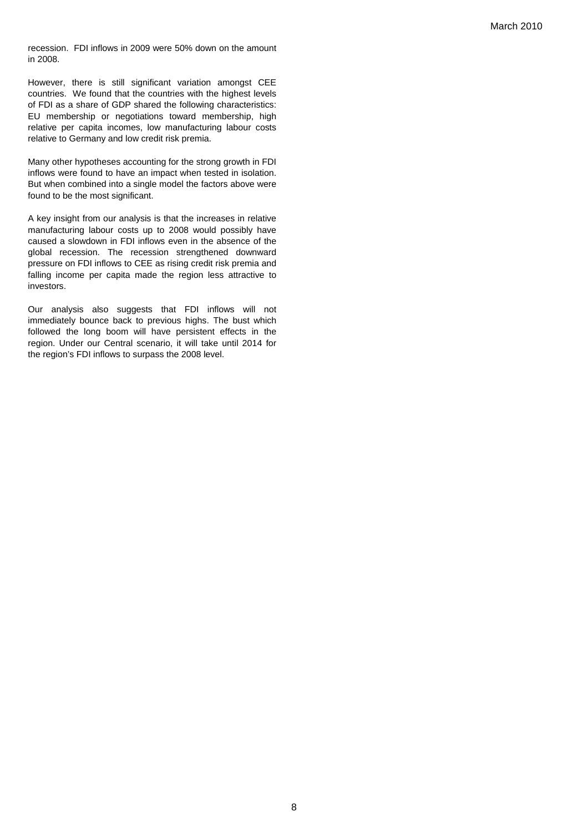recession. FDI inflows in 2009 were 50% down on the amount in 2008.

However, there is still significant variation amongst CEE countries. We found that the countries with the highest levels of FDI as a share of GDP shared the following characteristics: EU membership or negotiations toward membership, high relative per capita incomes, low manufacturing labour costs relative to Germany and low credit risk premia.

Many other hypotheses accounting for the strong growth in FDI inflows were found to have an impact when tested in isolation. But when combined into a single model the factors above were found to be the most significant.

A key insight from our analysis is that the increases in relative manufacturing labour costs up to 2008 would possibly have caused a slowdown in FDI inflows even in the absence of the global recession. The recession strengthened downward pressure on FDI inflows to CEE as rising credit risk premia and falling income per capita made the region less attractive to investors.

Our analysis also suggests that FDI inflows will not immediately bounce back to previous highs. The bust which followed the long boom will have persistent effects in the region. Under our Central scenario, it will take until 2014 for the region's FDI inflows to surpass the 2008 level.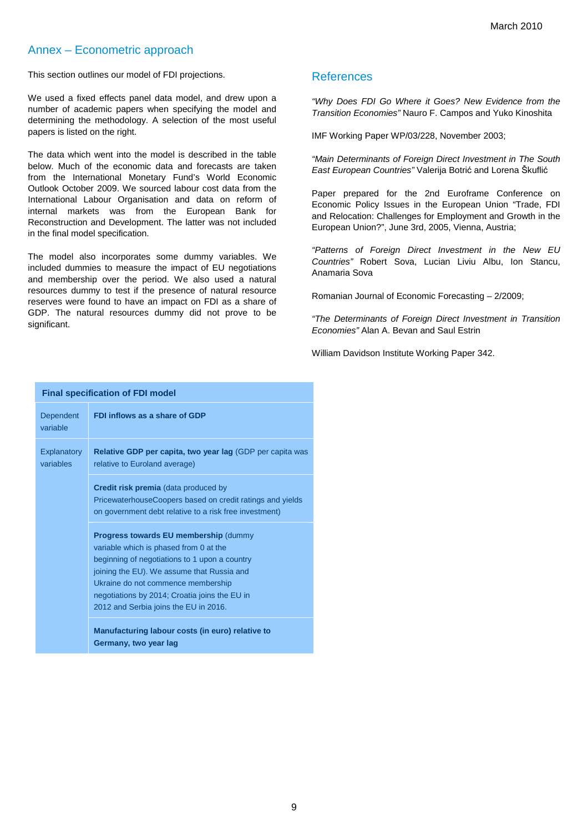## Annex – Econometric approach

This section outlines our model of FDI projections.

We used a fixed effects panel data model, and drew upon a number of academic papers when specifying the model and determining the methodology. A selection of the most useful papers is listed on the right.

The data which went into the model is described in the table below. Much of the economic data and forecasts are taken from the International Monetary Fund's World Economic Outlook October 2009. We sourced labour cost data from the International Labour Organisation and data on reform of internal markets was from the European Bank for Reconstruction and Development. The latter was not included in the final model specification.

The model also incorporates some dummy variables. We included dummies to measure the impact of EU negotiations and membership over the period. We also used a natural resources dummy to test if the presence of natural resource reserves were found to have an impact on FDI as a share of GDP. The natural resources dummy did not prove to be significant.

## References

*"Why Does FDI Go Where it Goes? New Evidence from the Transition Economies"* Nauro F. Campos and Yuko Kinoshita

IMF Working Paper WP/03/228, November 2003;

*"Main Determinants of Foreign Direct Investment in The South East European Countries"* Valerija Botrić and Lorena Škuflić

Paper prepared for the 2nd Euroframe Conference on Economic Policy Issues in the European Union "Trade, FDI and Relocation: Challenges for Employment and Growth in the European Union?", June 3rd, 2005, Vienna, Austria;

*"Patterns of Foreign Direct Investment in the New EU Countries"* Robert Sova, Lucian Liviu Albu, Ion Stancu, Anamaria Sova

Romanian Journal of Economic Forecasting – 2/2009;

*"The Determinants of Foreign Direct Investment in Transition Economies"* Alan A. Bevan and Saul Estrin

William Davidson Institute Working Paper 342.

| <b>Final specification of FDI model</b> |                                                                                                                                                                                                                                                                                                                        |  |  |  |
|-----------------------------------------|------------------------------------------------------------------------------------------------------------------------------------------------------------------------------------------------------------------------------------------------------------------------------------------------------------------------|--|--|--|
| <b>Dependent</b><br>variable            | FDI inflows as a share of GDP                                                                                                                                                                                                                                                                                          |  |  |  |
| Explanatory<br>variables                | Relative GDP per capita, two year lag (GDP per capita was<br>relative to Euroland average)                                                                                                                                                                                                                             |  |  |  |
|                                         | <b>Credit risk premia</b> (data produced by<br>PricewaterhouseCoopers based on credit ratings and yields<br>on government debt relative to a risk free investment)                                                                                                                                                     |  |  |  |
|                                         | <b>Progress towards EU membership (dummy)</b><br>variable which is phased from 0 at the<br>beginning of negotiations to 1 upon a country<br>joining the EU). We assume that Russia and<br>Ukraine do not commence membership<br>negotiations by 2014; Croatia joins the EU in<br>2012 and Serbia joins the EU in 2016. |  |  |  |
|                                         | Manufacturing labour costs (in euro) relative to<br>Germany, two year lag                                                                                                                                                                                                                                              |  |  |  |